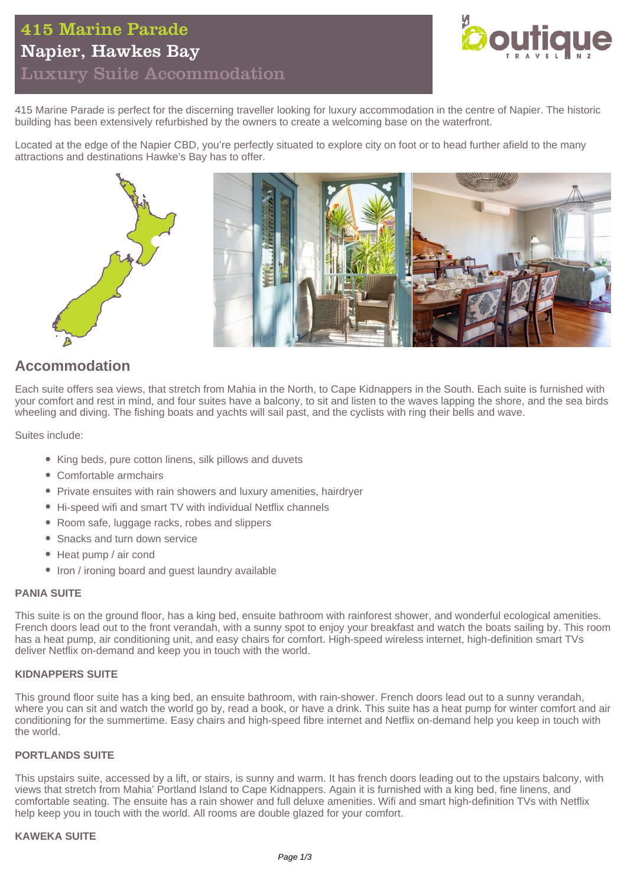## 415 Marine Parade Napier, Hawkes Bay Luxury Suite Accommodation



415 Marine Parade is perfect for the discerning traveller looking for luxury accommodation in the centre of Napier. The historic building has been extensively refurbished by the owners to create a welcoming base on the waterfront.

Located at the edge of the Napier CBD, you're perfectly situated to explore city on foot or to head further afield to the many attractions and destinations Hawke's Bay has to offer.



## **Accommodation**

Each suite offers sea views, that stretch from Mahia in the North, to Cape Kidnappers in the South. Each suite is furnished with your comfort and rest in mind, and four suites have a balcony, to sit and listen to the waves lapping the shore, and the sea birds wheeling and diving. The fishing boats and yachts will sail past, and the cyclists with ring their bells and wave.

Suites include:

- King beds, pure cotton linens, silk pillows and duvets
- Comfortable armchairs
- Private ensuites with rain showers and luxury amenities, hairdryer
- Hi-speed wifi and smart TV with individual Netflix channels
- Room safe, luggage racks, robes and slippers
- Snacks and turn down service
- Heat pump / air cond
- Iron / ironing board and guest laundry available

## **PANIA SUITE**

This suite is on the ground floor, has a king bed, ensuite bathroom with rainforest shower, and wonderful ecological amenities. French doors lead out to the front verandah, with a sunny spot to enjoy your breakfast and watch the boats sailing by. This room has a heat pump, air conditioning unit, and easy chairs for comfort. High-speed wireless internet, high-definition smart TVs deliver Netflix on-demand and keep you in touch with the world.

### **KIDNAPPERS SUITE**

This ground floor suite has a king bed, an ensuite bathroom, with rain-shower. French doors lead out to a sunny verandah, where you can sit and watch the world go by, read a book, or have a drink. This suite has a heat pump for winter comfort and air conditioning for the summertime. Easy chairs and high-speed fibre internet and Netflix on-demand help you keep in touch with the world.

## **PORTLANDS SUITE**

This upstairs suite, accessed by a lift, or stairs, is sunny and warm. It has french doors leading out to the upstairs balcony, with views that stretch from Mahia' Portland Island to Cape Kidnappers. Again it is furnished with a king bed, fine linens, and comfortable seating. The ensuite has a rain shower and full deluxe amenities. Wifi and smart high-definition TVs with Netflix help keep you in touch with the world. All rooms are double glazed for your comfort.

## **KAWEKA SUITE**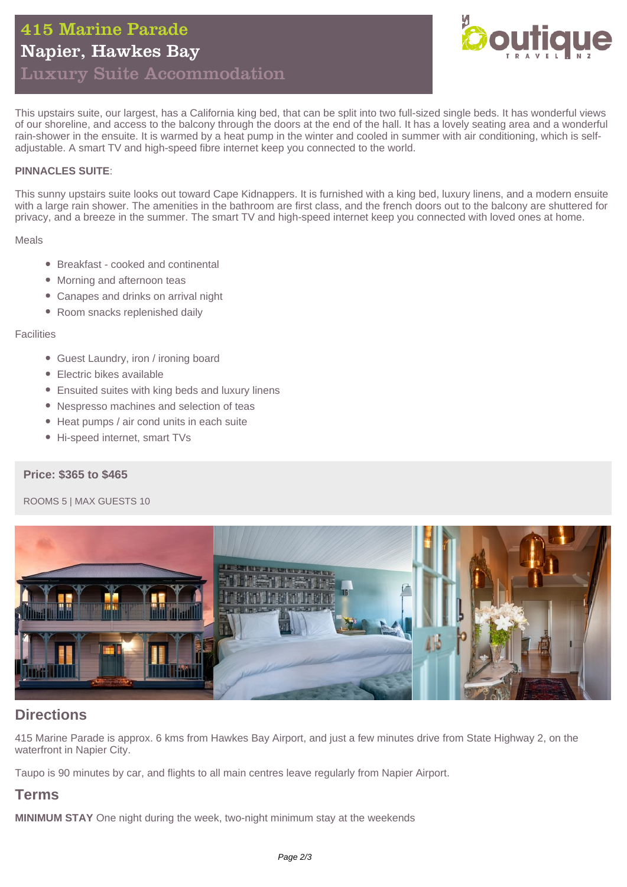

This upstairs suite, our largest, has a California king bed, that can be split into two full-sized single beds. It has wonderful views of our shoreline, and access to the balcony through the doors at the end of the hall. It has a lovely seating area and a wonderful rain-shower in the ensuite. It is warmed by a heat pump in the winter and cooled in summer with air conditioning, which is selfadjustable. A smart TV and high-speed fibre internet keep you connected to the world.

## **PINNACLES SUITE**:

This sunny upstairs suite looks out toward Cape Kidnappers. It is furnished with a king bed, luxury linens, and a modern ensuite with a large rain shower. The amenities in the bathroom are first class, and the french doors out to the balcony are shuttered for privacy, and a breeze in the summer. The smart TV and high-speed internet keep you connected with loved ones at home.

Meals

- Breakfast cooked and continental
- Morning and afternoon teas
- Canapes and drinks on arrival night
- Room snacks replenished daily

#### **Facilities**

- Guest Laundry, iron / ironing board
- Electric bikes available
- Ensuited suites with king beds and luxury linens
- Nespresso machines and selection of teas
- Heat pumps / air cond units in each suite
- Hi-speed internet, smart TVs

### **Price: \$365 to \$465**

#### ROOMS 5 | MAX GUESTS 10



## **Directions**

415 Marine Parade is approx. 6 kms from Hawkes Bay Airport, and just a few minutes drive from State Highway 2, on the waterfront in Napier City.

Taupo is 90 minutes by car, and flights to all main centres leave regularly from Napier Airport.

## **Terms**

**MINIMUM STAY** One night during the week, two-night minimum stay at the weekends